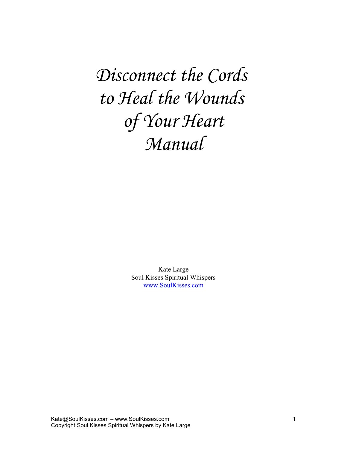*Disconnect the Cords to Heal the Wounds of Your Heart Manual*

> Kate Large Soul Kisses Spiritual Whispers [www.SoulKisses.com](http://www.SoulKisses.com/)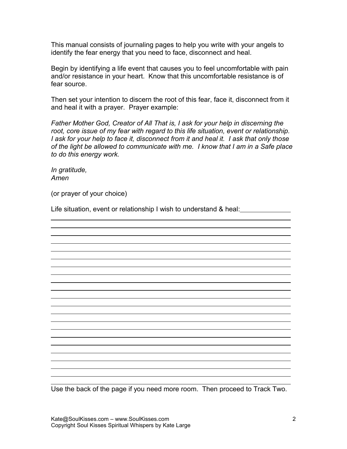This manual consists of journaling pages to help you write with your angels to identify the fear energy that you need to face, disconnect and heal.

Begin by identifying a life event that causes you to feel uncomfortable with pain and/or resistance in your heart. Know that this uncomfortable resistance is of fear source.

Then set your intention to discern the root of this fear, face it, disconnect from it and heal it with a prayer. Prayer example:

*Father Mother God, Creator of All That is, I ask for your help in discerning the root, core issue of my fear with regard to this life situation, event or relationship. I ask for your help to face it, disconnect from it and heal it. I ask that only those of the light be allowed to communicate with me. I know that I am in a Safe place to do this energy work.*

*In gratitude, Amen*

 $\overline{a}$ 

(or prayer of your choice)

Life situation, event or relationship I wish to understand & heal:

Use the back of the page if you need more room. Then proceed to Track Two.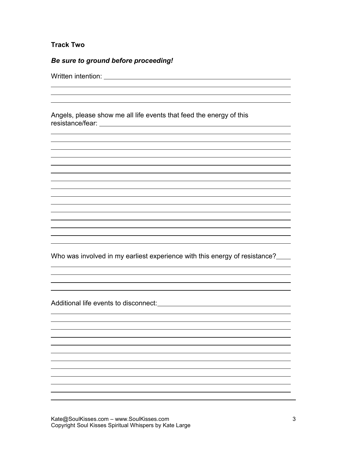# **Track Two**

 $\overline{a}$ 

 $\overline{a}$ 

 $\overline{a}$ 

# *Be sure to ground before proceeding!*

Written intention: University of the University of the University of the University of the University of the U

Angels, please show me all life events that feed the energy of this resistance/fear:

Who was involved in my earliest experience with this energy of resistance?

Additional life events to disconnect: exercise the state of the state of the state of the state of the state of the state of the state of the state of the state of the state of the state of the state of the state of the st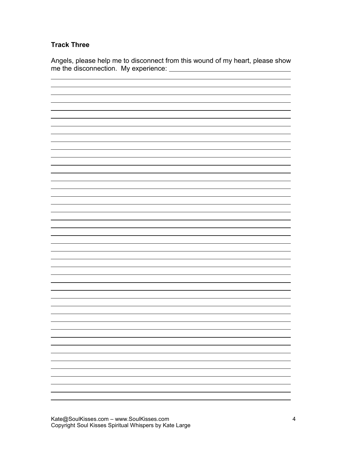# **Track Three**

Angels, please help me to disconnect from this wound of my heart, please show me the disconnection. My experience:

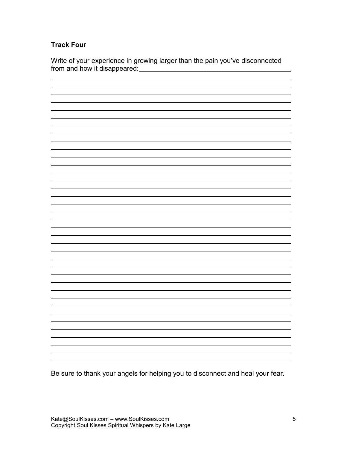## **Track Four**

Write of your experience in growing larger than the pain you've disconnected from and how it disappeared:<br>
<u>From and how it disappeared:</u>



Be sure to thank your angels for helping you to disconnect and heal your fear.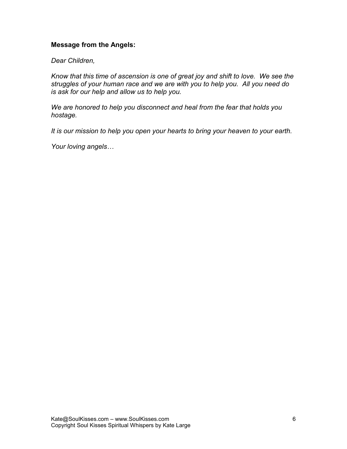#### **Message from the Angels:**

*Dear Children,*

*Know that this time of ascension is one of great joy and shift to love. We see the struggles of your human race and we are with you to help you. All you need do is ask for our help and allow us to help you.* 

*We are honored to help you disconnect and heal from the fear that holds you hostage.* 

*It is our mission to help you open your hearts to bring your heaven to your earth.*

*Your loving angels…*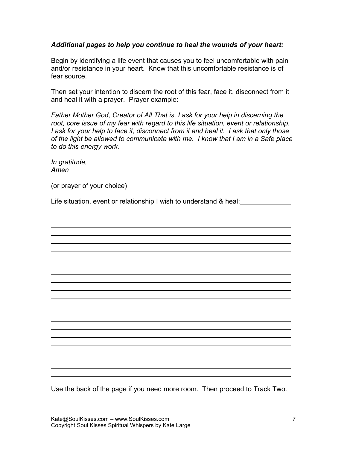#### *Additional pages to help you continue to heal the wounds of your heart:*

Begin by identifying a life event that causes you to feel uncomfortable with pain and/or resistance in your heart. Know that this uncomfortable resistance is of fear source.

Then set your intention to discern the root of this fear, face it, disconnect from it and heal it with a prayer. Prayer example:

*Father Mother God, Creator of All That is, I ask for your help in discerning the root, core issue of my fear with regard to this life situation, event or relationship. I ask for your help to face it, disconnect from it and heal it. I ask that only those of the light be allowed to communicate with me. I know that I am in a Safe place to do this energy work.*

*In gratitude, Amen*

 $\overline{a}$ 

(or prayer of your choice)

Life situation, event or relationship I wish to understand & heal:

Use the back of the page if you need more room. Then proceed to Track Two.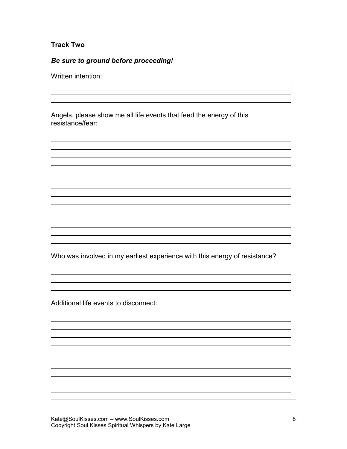# **Track Two**

 $\overline{a}$ 

 $\overline{a}$ 

 $\overline{a}$ 

# *Be sure to ground before proceeding!*

Written intention: University of the University of the University of the University of the University of the U

Angels, please show me all life events that feed the energy of this resistance/fear:

Who was involved in my earliest experience with this energy of resistance?

Additional life events to disconnect: exercise the state of the state of the state of the state of the state of the state of the state of the state of the state of the state of the state of the state of the state of the st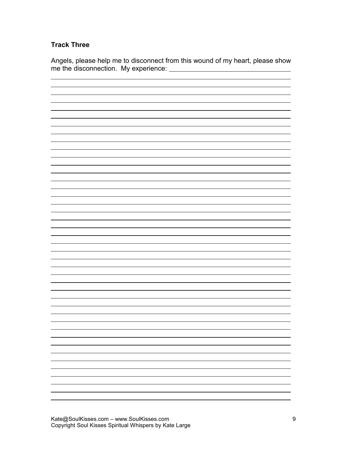# **Track Three**

Angels, please help me to disconnect from this wound of my heart, please show me the disconnection. My experience:

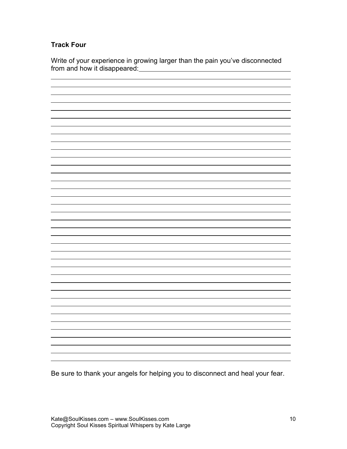## **Track Four**

Write of your experience in growing larger than the pain you've disconnected from and how it disappeared:<br>
<u>From and how it disappeared:</u>



Be sure to thank your angels for helping you to disconnect and heal your fear.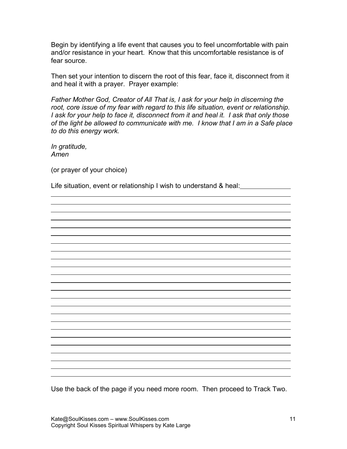Begin by identifying a life event that causes you to feel uncomfortable with pain and/or resistance in your heart. Know that this uncomfortable resistance is of fear source.

Then set your intention to discern the root of this fear, face it, disconnect from it and heal it with a prayer. Prayer example:

*Father Mother God, Creator of All That is, I ask for your help in discerning the root, core issue of my fear with regard to this life situation, event or relationship. I ask for your help to face it, disconnect from it and heal it. I ask that only those of the light be allowed to communicate with me. I know that I am in a Safe place to do this energy work.*

*In gratitude, Amen*

 $\overline{a}$ 

(or prayer of your choice)

Life situation, event or relationship I wish to understand & heal:

Use the back of the page if you need more room. Then proceed to Track Two.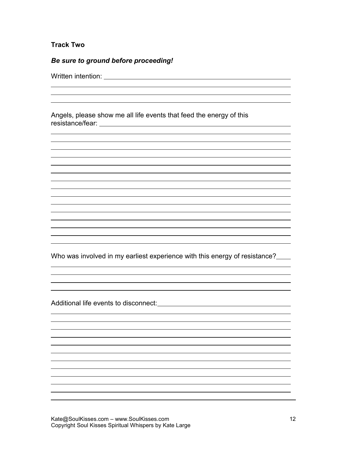## **Track Two**

 $\overline{a}$ 

 $\overline{a}$ 

 $\overline{a}$ 

# *Be sure to ground before proceeding!*

Written intention: University of the University of the University of the University of the University of the U

Angels, please show me all life events that feed the energy of this resistance/fear:

Who was involved in my earliest experience with this energy of resistance?

Additional life events to disconnect: exercise the state of the state of the state of the state of the state of the state of the state of the state of the state of the state of the state of the state of the state of the st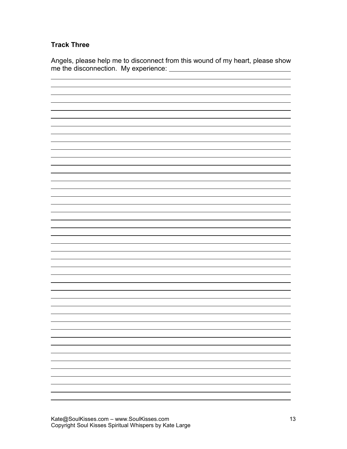# **Track Three**

Angels, please help me to disconnect from this wound of my heart, please show me the disconnection. My experience: